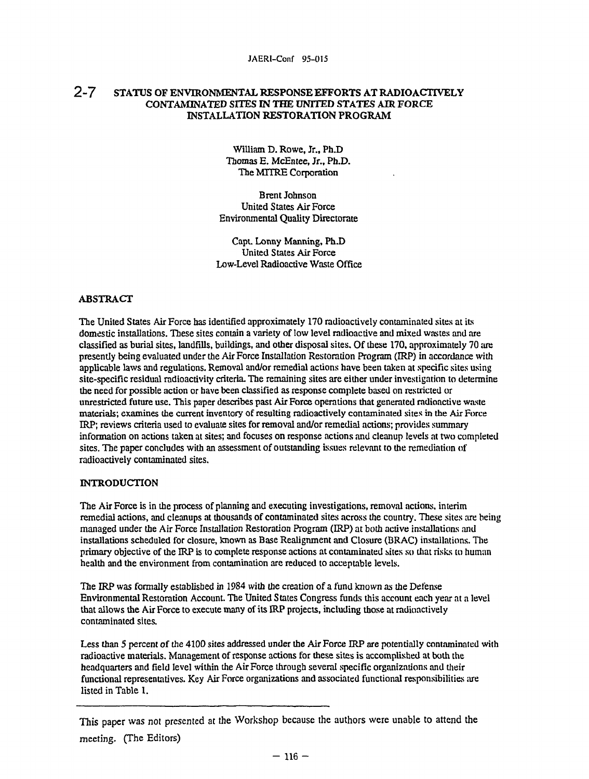# **2 - 7 STATUS OF ENVIRONMENTAL RESPONSE EFFORTS AT RADIOACTTVELY CONTAMINATED SITES IN THE UNITED STATES AIR FORCE INSTALLATION RESTORATION PROGRAM**

William D. Rowe, Jr., Ph.D Thomas E. McEntee, Jr., Ph.D. The MITRE Corporation

Brent Johnson United States Air Force Environmental Quality Directorate

Capt. Lonny Manning, Ph.D United States Air Force Low-Level Radioactive Waste Office

#### **ABSTRACT**

The United States Air Force has identified approximately 170 radioactively contaminated sites at its domestic installations. These sites contain a variety of low level radioactive and mixed wastes and are classified as burial sites, landfills, buildings, and other disposal sites. Of these 170, approximately 70 are presently being evaluated under the Air Force Installation Restoration Program (IRP) in accordance with applicable laws and regulations. Removal and/or remedial actions have been taken at specific sites using site-specific residual radioactivity criteria. The remaining sites are either under investigation to determine die need for possible action or have been classified as response complete based on restricted or unrestricted future use. This paper describes past Air Force operations that generated radioactive waste materials; examines die current inventory of resulting radioactively contaminated sites in die Air Force IRP; reviews criteria used to evaluate sites for removal and/or remedial actions; provides summary information on actions taken at sites; and focuses on response actions and cleanup levels at two completed sites. The paper concludes with an assessment of outstanding issues relevant to the remediation of radioactively contaminated sites.

#### **INTRODUCTION**

The Air Force is in die process of planning and executing investigations, removal actions, interim remedial actions, and cleanups at thousands of contaminated sites across die country. These sites are being managed under the Air Force Installation Restoration Program (IRP) at both active installations and installations scheduled for closure, known as Base Realignment and Closure (BRAC) installations. The primary objective of the IRP is to complete response actions at contaminated sites so that risks to human health and the environment from contamination are reduced to acceptable levels.

The IRP was formally established in 1984 with the creation of a fund known as the Defense Environmental Restoration Account. The United States Congress funds this account each year at a level that allows die Air Force to execute many of its IRP projects, including those at radioactively contaminated sites.

Less than 5 percent of the 4100 sites addressed under the Air Force IRP are potentially contaminated with radioactive materials. Management of response actions for these sites is accomplished at both the headquarters and field level within the Air Force through several specific organizations and their functional representatives. Key Air Force organizations and associated functional responsibilities are listed in Table 1.

This paper was not presented at the Workshop because the authors were unable to attend the meeting. (The Editors)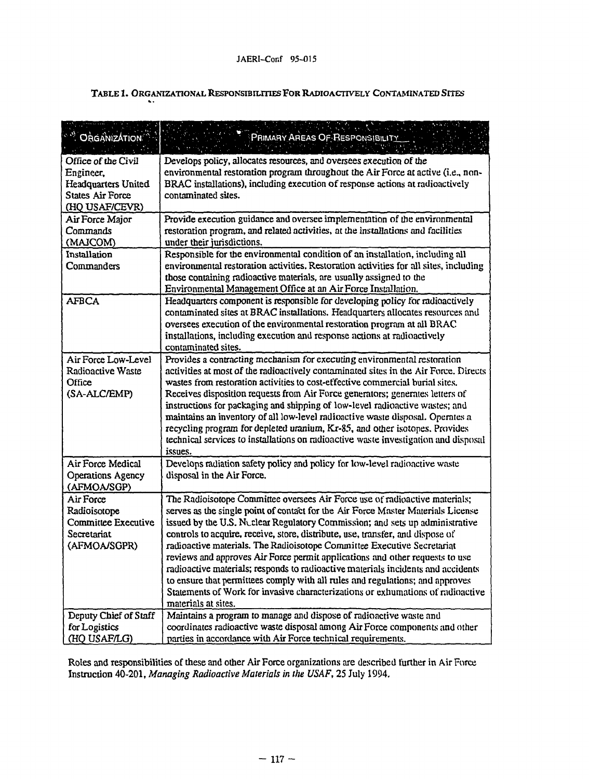|  |  |  |  | Table 1. Organizational Responsibilities For Radioactively Contaminated Sites |
|--|--|--|--|-------------------------------------------------------------------------------|
|--|--|--|--|-------------------------------------------------------------------------------|

| " ORGANIZATION<br><b>All Contract Contracts</b> | <b>RANGER</b><br>PRIMARY AREAS OF RESPONSIBILITY                                                                                                                  |
|-------------------------------------------------|-------------------------------------------------------------------------------------------------------------------------------------------------------------------|
| Office of the Civil                             | Develops policy, allocates resources, and oversees execution of the                                                                                               |
| Engineer,<br>Headquarters United                | environmental restoration program throughout the Air Force at active (i.e., non-<br>BRAC installations), including execution of response actions at radioactively |
| <b>States Air Force</b>                         | contaminated sites.                                                                                                                                               |
| (HQ USAF/CEVR)                                  |                                                                                                                                                                   |
| Air Force Major                                 | Provide execution guidance and oversee implementation of the environmental                                                                                        |
| Commands                                        | restoration program, and related activities, at the installations and facilities                                                                                  |
| (MAJCOM)                                        | under their jurisdictions.                                                                                                                                        |
| Installation                                    | Responsible for the environmental condition of an installation, including all                                                                                     |
| Commanders                                      | environmental restoration activities. Restoration activities for all sites, including                                                                             |
|                                                 | those containing radioactive materials, are usually assigned to the                                                                                               |
| <b>AFBCA</b>                                    | Environmental Management Office at an Air Force Installation.<br>Headquarters component is responsible for developing policy for radioactively                    |
|                                                 | contaminated sites at BRAC installations. Headquarters allocates resources and                                                                                    |
|                                                 | oversees execution of the environmental restoration program at all BRAC                                                                                           |
|                                                 | installations, including execution and response actions at radioactively                                                                                          |
|                                                 | contaminated sites.                                                                                                                                               |
| Air Force Low-Level                             | Provides a contracting mechanism for executing environmental restoration                                                                                          |
| Radioactive Waste                               | activities at most of the radioactively contaminated sites in the Air Force. Directs                                                                              |
| Office                                          | wastes from restoration activities to cost-effective commercial burial sites.                                                                                     |
| (SA-ALC/EMP)                                    | Receives disposition requests from Air Force generators; generates letters of                                                                                     |
|                                                 | instructions for packaging and shipping of low-level radioactive wastes; and<br>maintains an inventory of all low-level radioactive waste disposal. Operates a    |
|                                                 | recycling program for depleted uranium, Kr-85, and other isotopes. Provides                                                                                       |
|                                                 | technical services to installations on radioactive waste investigation and disposal                                                                               |
|                                                 | issues.                                                                                                                                                           |
| Air Force Medical                               | Develops radiation safety policy and policy for low-level radioactive waste                                                                                       |
| <b>Operations Agency</b>                        | disposal in the Air Force.                                                                                                                                        |
| (AFMOA/SGP)                                     |                                                                                                                                                                   |
| Air Force                                       | The Radioisotope Committee oversees Air Force use of radioactive materials;<br>serves as the single point of contact for the Air Force Master Materials License   |
| Radioisotope<br>Committee Executive             | issued by the U.S. Nuclear Regulatory Commission; and sets up administrative                                                                                      |
| Secretariat                                     | controls to acquire, receive, store, distribute, use, transfer, and dispose of                                                                                    |
| (AFMOA/SGPR)                                    | radioactive materials. The Radioisotope Committee Executive Secretariat                                                                                           |
|                                                 | reviews and approves Air Force permit applications and other requests to use                                                                                      |
|                                                 | radioactive materials; responds to radioactive materials incidents and accidents                                                                                  |
|                                                 | to ensure that permittees comply with all rules and regulations; and approves                                                                                     |
|                                                 | Statements of Work for invasive characterizations or exhumations of radioactive                                                                                   |
| Deputy Chief of Staff                           | materials at sites.<br>Maintains a program to manage and dispose of radioactive waste and                                                                         |
| for Logistics                                   | coordinates radioactive waste disposal among Air Force components and other                                                                                       |
| (HQ USAF/LG)                                    | parties in accordance with Air Force technical requirements.                                                                                                      |

Roles and responsibilities of these and other Air Force organizations are described further in Air Force Instruction 40-201, *Managing Radioactive Materials in the USAF,* 25 luly 1994.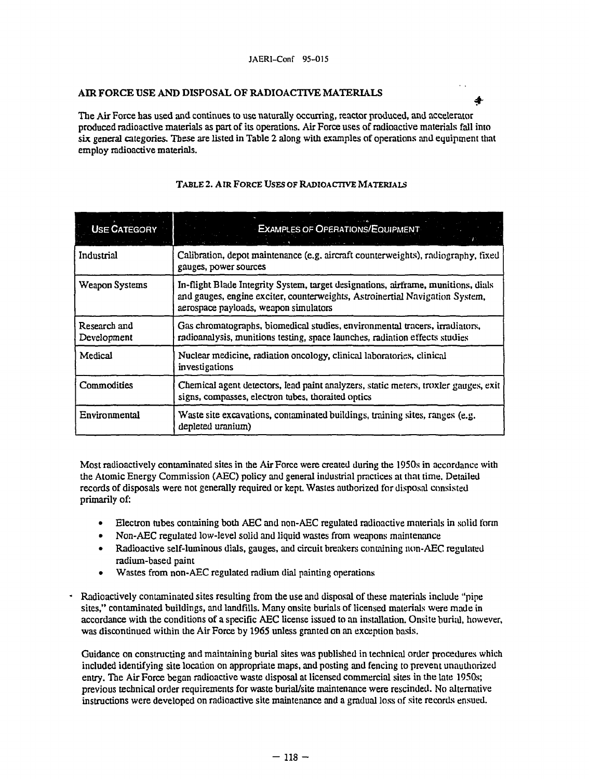## AIR FORCE USE AND DISPOSAL OF RADIOACTIVE MATERIALS

The Air Force has used and continues to use naturally occurring, reactor produced, and accelerator produced radioactive materials as part of its operations. Air Force uses of radioactive materials fall into six general categories. These are listed in Table 2 along with examples of operations and equipment that employ radioactive materials.

á.

| <b>USE CATEGORY</b>         | <b>EXAMPLES OF OPERATIONS/EQUIPMENT</b>                                                                                                                                                                    |
|-----------------------------|------------------------------------------------------------------------------------------------------------------------------------------------------------------------------------------------------------|
| Industrial                  | Calibration, depot maintenance (e.g. aircraft counterweights), radiography, fixed<br>gauges, power sources                                                                                                 |
| Weapon Systems              | In-flight Blade Integrity System, target designations, airframe, munitions, dials<br>and gauges, engine exciter, counterweights, Astroinertial Navigation System,<br>aerospace payloads, weapon simulators |
| Research and<br>Development | Gas chromatographs, biomedical studies, environmental tracers, irradiators,<br>radioanalysis, munitions testing, space launches, radiation effects studies                                                 |
| Medical                     | Nuclear medicine, radiation oncology, clinical laboratories, clinical<br>investigations                                                                                                                    |
| Commodities                 | Chemical agent detectors, lead paint analyzers, static meters, troxler gauges, exit<br>signs, compasses, electron tubes, thoraited optics                                                                  |
| Environmental               | Waste site excavations, contaminated buildings, training sites, ranges (e.g.<br>depleted uranium)                                                                                                          |

## TABLE 2. AIR FORCE USES OF RADIOACTIVE MATERIALS

Most radioactively contaminated sites in the Air Force were created during the 1950s in accordance with the Atomic Energy Commission (AEC) policy and general industrial practices at that time. Detailed records of disposals were not generally required or kept Wastes authorized for disposal consisted primarily of:

- Electron tubes containing both AEC and non-AEC regulated radioactive materials in solid form
- Non-AEC regulated low-level solid and liquid wastes from weapons maintenance
- Radioactive self-luminous dials, gauges, and circuit breakers containing non-AEC regulated radium-based paint
- Wastes from non-AEC regulated radium dial painting operations
- Radioactively contaminated sites resulting from the use and disposal of these materials include "pipe sites," contaminated buildings, and landfills. Many onsite burials of licensed materials were made in accordance with the conditions of a specific AEC license issued to an installation. Onsite burial, however, was discontinued within the Air Force by 1965 unless granted on an exception basis.

Guidance on constructing and maintaining burial sites was published in technical order procedures which included identifying site location on appropriate maps, and posting and fencing to prevent unauthorized entry. The Air Force began radioactive waste disposal at licensed commercial sites in the late 1950s; previous technical order requirements for waste burial/site maintenance were rescinded. No alternative instructions were developed on radioactive site maintenance and a gradual loss of site records ensued.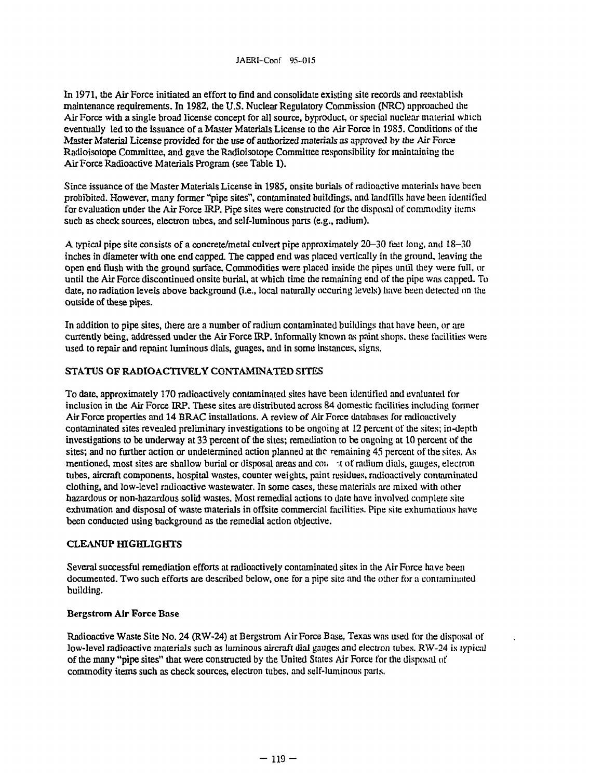In 1971, die Air Force initiated an effort to find and consolidate existing site records and reestablish maintenance requirements. In 1982, die U.S. Nuclear Regulatory Commission (NRC) approached die Air Force widi a single broad license concept for all source, byproduct, or special nuclear material which eventually led to the issuance of a Master Materials License to the Air Force in 19S5. Conditions of the Master Material License provided for the use of authorized materials as approved by the Air Force Radioisotope Committee, and gave the Radioisotope Committee responsibility for maintaining the Air Force Radioactive Materials Program (see Table 1).

Since issuance of the Master Materials License in 1985, onsite burials of radioactive materials have been prohibited. However, many former "pipe sites", contaminated buildings, and landfills have been identified for evaluation under the Air Force IRP. Pipe sites were constructed for the disposal of commodity items such as check sources, electron tubes, and self-luminous parts (e.g., radium).

A typical pipe site consists of a concrete/metal culvert pipe approximately 20-30 feet long, and 18-30 inches in diameter with one end capped. The capped end was placed vertically in die ground, leaving die open end flush wim me ground surface. Commodities were placed inside die pipes until mey were full, or until die Air Force discontinued onsite burial, at which time die remaining end of the pipe was capped. To date, no radiation levels above background (i.e., local naturally occuring levels) have been detected on the outside of these pipes.

In addition to pipe sites, there are a number of radium contaminated buildings that have been, or are currendy being, addressed under die Air Force IRP. Informally known as paint shops, these facilities were used to repair and repaint luminous dials, guages, and in some instances, signs.

## STATUS OF RADIOACTIVELY CONTAMINATED SITES

To date, approximately 170 radioactively contaminated sites have been identified and evaluated for inclusion in die Air Force IRP. These sites are distributed across 84 domestic facilities including former Air Force properties and 14 BRAC installations. A review of Air Force databases for radioactively contaminated sites revealed preliminary investigations to be ongoing at 12 percent of die sites; in-depth investigations to be underway at 33 percent of the sites; remediation to be ongoing at 10 percent of the sites; and no further action or undetermined action planned at the remaining 45 percent of the sites. As mentioned, most sites are shallow burial or disposal areas and con at of radium dials, gauges, electron tubes, aircraft components, hospital wastes, counter weights, paint residues, radioactively contaminated doming, and low-level radioactive wastewater. In some cases, these materials are mixed with other hazardous or non-hazardous solid wastes. Most remedial actions to date have involved complete site exhumation and disposal of waste materials in offsite commercial facilities. Pipe site exhumations have been conducted using background as the remedial action objective.

### CLEANUP HIGHLIGHTS

Several successful remediation efforts at radioactively contaminated sites in die Air Force have been documented. Two such efforts are described below, one for a pipe site and the other for a contaminated building.

### Bergstrom Air Force Base

Radioactive Waste Site No. 24 (RW-24) at Bergstrom Air Force Base, Texas was used for me disposal of low-level radioactive materials such as luminous aircraft dial gauges and electron tubes. RW-24 is lypical of the many "pipe sites" that were constructed by the United States Air Force for the disposal of commodity items such as check sources, electron tubes, and self-luminous parts.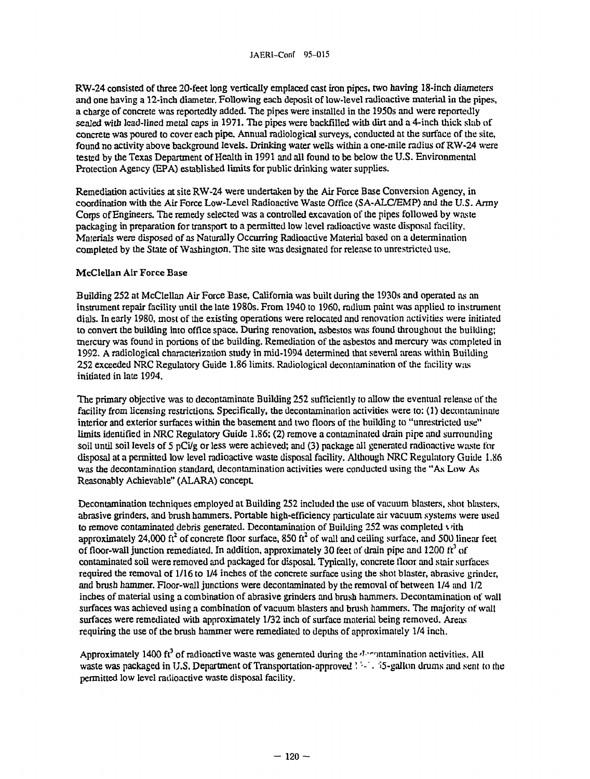KW-24 consisted of three 20-feet long vertically emplaced cast iron pipes, two having 18-inch diameters and one having a 12-inch diameter. Following each deposit of low-level radioactive material in die pipes, a charge of concrete was reportedly added. The pipes were installed in die 1950s and were reportedly sealed widi lead-lined metal caps in 1971. The pipes were backfilled widi dirt and a 4-inch thick slab of concrete was poured to cover each pipe. Annual radiological surveys, conducted at die surface of die site, found no activity above background levels. Drinking water wells within a one-mile radius of RW-24 were tested by the Texas Department of Health in 1991 and all found to be below the U.S. Environmental Protection Agency (EPA) established limits for public drinking water supplies.

Remediation activities at site RW-24 were undertaken by the Air Force Base Conversion Agency, in coordination with the Air Force Low-Level Radioactive Waste Office (SA-ALC/EMP) and the U.S. Army Corps of Engineers. The remedy selected was a controlled excavation of die pipes followed by waste packaging in preparation for transport to a permitted low level radioactive waste disposal facility. Materials were disposed of as Naturally Occurring Radioactive Material based on a determination completed by the State of Washington. The site was designated for release to unrestricted use.

#### McClellan Air Force Base

Building 252 at McClellan Air Force Base, California was built during die 1930s and operated as an instrument repair facility until die late 1980s. From 1940 to 1960, radium paint was applied to instrument dials. In early 1980, most of die existing operations were relocated and renovation activities were initiated to convert die building into office space. During renovation, asbestos was found diroughout die building; mercury was found in portions of die building. Remediation of me asbestos and mercury was completed in 1992. A radiological characterization study in mid-1994 determined that several areas within Building 252 exceeded NRC Regulatory Guide 1.86 limits. Radiological decontamination of die facility was initiated in late 1994.

The primary objective was to decontaminate Building 252 sufficiently to allow the eventual release of the facility from licensing restrictions. Specifically, the decontamination activities were to: (1) decontaminate interior and exterior surfaces within the basement and two floors of the building to "unrestricted use" limits identified in NRC Regulatory Guide 1.86; (2) remove a contaminated drain pipe and surrounding soil until soil levels of 5 pCi/g or less were achieved; and (3) package all generated radioactive waste for disposal at a permitted low level radioactive waste disposal facility. Aldiough NRC Regulatory Guide 1.86 was die decontamination standard, decontamination activities were conducted using the "As Low As Reasonably Achievable" (ALARA) concept.

Decontamination techniques employed at Building 252 included die use of vacuum blasters, shot blasters, abrasive grinders, and brush hammers. Portable high-efficiency particulate air vacuum systems were used to remove contaminated debris generated. Decontamination of Building  $252$  was completed  $\overline{\text{ } }$  vith approximately 24,000 ft<sup>2</sup> of concrete floor surface, 850 ft<sup>2</sup> of wall and ceiling surface, and 500 linear feet of floor-wall junction remediated. In addition, approximately 30 feet of drain pipe and  $1200 \text{ ft}^3$  of contaminated soil were removed and packaged for disposal. Typically, concrete floor and stair surfaces required die removal of 1/16 to 1/4 inches of die concrete surface using die shot blaster, abrasive grinder, and brush hammer. Floor-wall junctions were decontaminated by die removal of between 1/4 and 1/2 inches of material using a combination of abrasive grinders and brush hammers. Decontamination of wall surfaces was achieved using a combination of vacuum blasters and brush hammers. The majority of wall surfaces were remediated with approximately 1/32 inch of surface material being removed. Areas requiring the use of the brush hammer were remediated to depths of approximately 1/4 inch.

Approximately 1400 ft<sup>3</sup> of radioactive waste was generated during the *decontamination* activities. All waste was packaged in U.S. Department of Transportation-approved ''-". 55-gallon drums and sent to the permitted low level radioactive waste disposal facility.